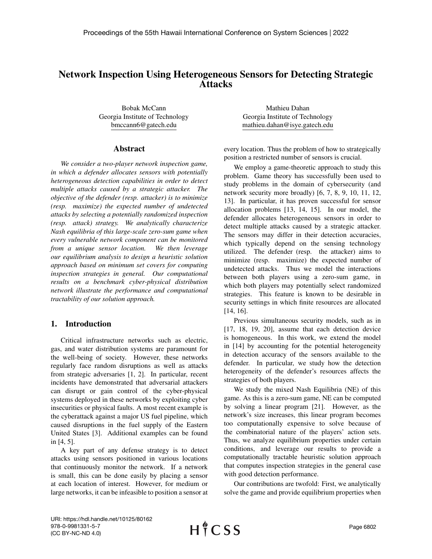# Network Inspection Using Heterogeneous Sensors for Detecting Strategic Attacks

Bobak McCann Georgia Institute of Technology bmccann6@gatech.edu

#### Abstract

*We consider a two-player network inspection game, in which a defender allocates sensors with potentially heterogeneous detection capabilities in order to detect multiple attacks caused by a strategic attacker. The objective of the defender (resp. attacker) is to minimize (resp. maximize) the expected number of undetected attacks by selecting a potentially randomized inspection (resp. attack) strategy. We analytically characterize Nash equilibria of this large-scale zero-sum game when every vulnerable network component can be monitored from a unique sensor location. We then leverage our equilibrium analysis to design a heuristic solution approach based on minimum set covers for computing inspection strategies in general. Our computational results on a benchmark cyber-physical distribution network illustrate the performance and computational tractability of our solution approach.*

## 1. Introduction

Critical infrastructure networks such as electric, gas, and water distribution systems are paramount for the well-being of society. However, these networks regularly face random disruptions as well as attacks from strategic adversaries [\[1,](#page-8-0) [2\]](#page-8-1). In particular, recent incidents have demonstrated that adversarial attackers can disrupt or gain control of the cyber-physical systems deployed in these networks by exploiting cyber insecurities or physical faults. A most recent example is the cyberattack against a major US fuel pipeline, which caused disruptions in the fuel supply of the Eastern United States [\[3\]](#page-8-2). Additional examples can be found in [\[4,](#page-8-3) [5\]](#page-8-4).

A key part of any defense strategy is to detect attacks using sensors positioned in various locations that continuously monitor the network. If a network is small, this can be done easily by placing a sensor at each location of interest. However, for medium or large networks, it can be infeasible to position a sensor at

Mathieu Dahan Georgia Institute of Technology mathieu.dahan@isye.gatech.edu

every location. Thus the problem of how to strategically position a restricted number of sensors is crucial.

We employ a game-theoretic approach to study this problem. Game theory has successfully been used to study problems in the domain of cybersecurity (and network security more broadly) [\[6,](#page-8-5) [7,](#page-8-6) [8,](#page-8-7) [9,](#page-8-8) [10,](#page-8-9) [11,](#page-8-10) [12,](#page-9-0) [13\]](#page-9-1). In particular, it has proven successful for sensor allocation problems [\[13,](#page-9-1) [14,](#page-9-2) [15\]](#page-9-3). In our model, the defender allocates heterogeneous sensors in order to detect multiple attacks caused by a strategic attacker. The sensors may differ in their detection accuracies, which typically depend on the sensing technology utilized. The defender (resp. the attacker) aims to minimize (resp. maximize) the expected number of undetected attacks. Thus we model the interactions between both players using a zero-sum game, in which both players may potentially select randomized strategies. This feature is known to be desirable in security settings in which finite resources are allocated [\[14,](#page-9-2) [16\]](#page-9-4).

Previous simultaneous security models, such as in [\[17,](#page-9-5) [18,](#page-9-6) [19,](#page-9-7) [20\]](#page-9-8), assume that each detection device is homogeneous. In this work, we extend the model in [\[14\]](#page-9-2) by accounting for the potential heterogeneity in detection accuracy of the sensors available to the defender. In particular, we study how the detection heterogeneity of the defender's resources affects the strategies of both players.

We study the mixed Nash Equilibria (NE) of this game. As this is a zero-sum game, NE can be computed by solving a linear program [\[21\]](#page-9-9). However, as the network's size increases, this linear program becomes too computationally expensive to solve because of the combinatorial nature of the players' action sets. Thus, we analyze equilibrium properties under certain conditions, and leverage our results to provide a computationally tractable heuristic solution approach that computes inspection strategies in the general case with good detection performance.

Our contributions are twofold: First, we analytically solve the game and provide equilibrium properties when

URI: https://hdl.handle.net/10125/80162 978-0-9981331-5-7 (CC BY-NC-ND 4.0)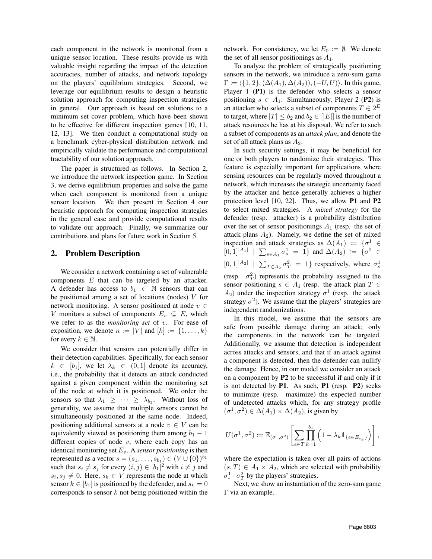each component in the network is monitored from a unique sensor location. These results provide us with valuable insight regarding the impact of the detection accuracies, number of attacks, and network topology on the players' equilibrium strategies. Second, we leverage our equilibrium results to design a heuristic solution approach for computing inspection strategies in general. Our approach is based on solutions to a minimum set cover problem, which have been shown to be effective for different inspection games [\[10,](#page-8-9) [11,](#page-8-10) [12,](#page-9-0) [13\]](#page-9-1). We then conduct a computational study on a benchmark cyber-physical distribution network and empirically validate the performance and computational tractability of our solution approach.

The paper is structured as follows. In Section [2,](#page-1-0) we introduce the network inspection game. In Section [3,](#page-3-0) we derive equilibrium properties and solve the game when each component is monitored from a unique sensor location. We then present in Section [4](#page-6-0) our heuristic approach for computing inspection strategies in the general case and provide computational results to validate our approach. Finally, we summarize our contributions and plans for future work in Section [5.](#page-8-11)

#### <span id="page-1-0"></span>2. Problem Description

We consider a network containing a set of vulnerable components  $E$  that can be targeted by an attacker. A defender has access to  $b_1 \in \mathbb{N}$  sensors that can be positioned among a set of locations (nodes)  $V$  for network monitoring. A sensor positioned at node  $v \in$ V monitors a subset of components  $E_v \subseteq E$ , which we refer to as the *monitoring set* of v. For ease of exposition, we denote  $n := |V|$  and  $[k] := \{1, \ldots, k\}$ for every  $k \in \mathbb{N}$ .

We consider that sensors can potentially differ in their detection capabilities. Specifically, for each sensor  $k \in [b_1]$ , we let  $\lambda_k \in (0, 1]$  denote its accuracy, i.e., the probability that it detects an attack conducted against a given component within the monitoring set of the node at which it is positioned. We order the sensors so that  $\lambda_1 \geq \cdots \geq \lambda_{b_1}$ . Without loss of generality, we assume that multiple sensors cannot be simultaneously positioned at the same node. Indeed, positioning additional sensors at a node  $v \in V$  can be equivalently viewed as positioning them among  $b_1 - 1$ different copies of node  $v$ , where each copy has an identical monitoring set  $E_v$ . A *sensor positioning* is then represented as a vector  $s = (s_1, \ldots, s_{b_1}) \in (V \cup \{0\})^{b_1}$ such that  $s_i \neq s_j$  for every  $(i, j) \in [b_1]^2$  with  $i \neq j$  and  $s_i, s_j \neq 0$ . Here,  $s_k \in V$  represents the node at which sensor  $k \in [b_1]$  is positioned by the defender, and  $s_k = 0$ corresponds to sensor  $k$  not being positioned within the network. For consistency, we let  $E_0 \coloneqq \emptyset$ . We denote the set of all sensor positionings as  $A_1$ .

To analyze the problem of strategically positioning sensors in the network, we introduce a zero-sum game  $\Gamma \coloneqq \langle \{1, 2\},(\Delta(A_1), \Delta(A_2)),(-U, U)\rangle$ . In this game, Player 1 (P1) is the defender who selects a sensor positioning  $s \in A_1$ . Simultaneously, Player 2 (P2) is an attacker who selects a subset of components  $T \in 2^E$ to target, where  $|T| \leq b_2$  and  $b_2 \in |E|$  is the number of attack resources he has at his disposal. We refer to such a subset of components as an *attack plan*, and denote the set of all attack plans as  $A_2$ .

In such security settings, it may be beneficial for one or both players to randomize their strategies. This feature is especially important for applications where sensing resources can be regularly moved throughout a network, which increases the strategic uncertainty faced by the attacker and hence generally achieves a higher protection level [\[10,](#page-8-9) [22\]](#page-9-10). Thus, we allow P1 and P2 to select mixed strategies. A *mixed strategy* for the defender (resp. attacker) is a probability distribution over the set of sensor positionings  $A_1$  (resp. the set of attack plans  $A_2$ ). Namely, we define the set of mixed inspection and attack strategies as  $\Delta(A_1) := \{ \sigma^1 \in$  $[0,1]^{|A_1|}$  |  $\sum_{s \in A_1} \sigma_s^1 = 1$ } and  $\Delta(A_2) := \{\sigma^2 \in$  $[0,1]^{A_2}$  |  $\sum_{T \in A_2} \sigma_T^2 = 1$ } respectively, where  $\sigma_s^1$ (resp.  $\sigma_T^2$ ) represents the probability assigned to the sensor positioning  $s \in A_1$  (resp. the attack plan  $T \in$  $A_2$ ) under the inspection strategy  $\sigma^1$  (resp. the attack strategy  $\sigma^2$ ). We assume that the players' strategies are

In this model, we assume that the sensors are safe from possible damage during an attack; only the components in the network can be targeted. Additionally, we assume that detection is independent across attacks and sensors, and that if an attack against a component is detected, then the defender can nullify the damage. Hence, in our model we consider an attack on a component by P2 to be successful if and only if it is not detected by P1. As such, P1 (resp. P2) seeks to minimize (resp. maximize) the expected number of undetected attacks which, for any strategy profile  $(\sigma^1, \sigma^2) \in \Delta(A_1) \times \Delta(A_2)$ , is given by

independent randomizations.

$$
U(\sigma^1, \sigma^2) \coloneqq \mathbb{E}_{(\sigma^1, \sigma^2)} \left[ \sum_{e \in T} \prod_{k=1}^{b_1} \left( 1 - \lambda_k \mathbb{1}_{\{e \in E_{s_k}\}} \right) \right],
$$

where the expectation is taken over all pairs of actions  $(s, T) \in A_1 \times A_2$ , which are selected with probability  $\sigma_s^1 \cdot \sigma_T^2$  by the players' strategies.

Next, we show an instantiation of the zero-sum game Γ via an example.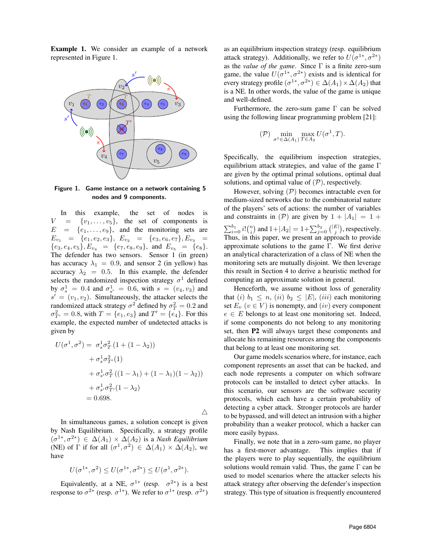Example 1. We consider an example of a network represented in Figure [1.](#page-2-0)



<span id="page-2-0"></span>Figure 1. Game instance on a network containing 5 nodes and 9 components.

In this example, the set of nodes is  $V = \{v_1, \ldots, v_5\}$ , the set of components is  $E = \{e_1, \ldots, e_9\}$ , and the monitoring sets are  $E_{v_1} = \{e_1, e_2, e_3\}, E_{v_2} = \{e_3, e_6, e_7\}, E_{v_3} =$  ${e_3, e_4, e_5}, E_{v_4} = {e_7, e_8, e_9}, \text{ and } E_{v_5} = {e_8}.$ The defender has two sensors. Sensor 1 (in green) has accuracy  $\lambda_1 = 0.9$ , and sensor 2 (in yellow) has accuracy  $\lambda_2 = 0.5$ . In this example, the defender selects the randomized inspection strategy  $\sigma^1$  defined by  $\sigma_s^1 = 0.4$  and  $\sigma_{s'}^1 = 0.6$ , with  $s = (v_4, v_3)$  and  $s' = (v_1, v_2)$ . Simultaneously, the attacker selects the randomized attack strategy  $\sigma^2$  defined by  $\sigma_T^2 = 0.2$  and  $\sigma_{T'}^2 = 0.8$ , with  $T = \{e_1, e_3\}$  and  $T' = \{e_4\}$ . For this example, the expected number of undetected attacks is given by

$$
U(\sigma^1, \sigma^2) = \sigma_s^1 \sigma_T^2 (1 + (1 - \lambda_2))
$$
  
+  $\sigma_s^1 \sigma_{T'}^2 (1)$   
+  $\sigma_{s'}^1 \sigma_T^2 (1 - \lambda_1) + (1 - \lambda_1)(1 - \lambda_2))$   
+  $\sigma_{s'}^1 \sigma_{T'}^2 (1 - \lambda_2)$   
= 0.698.

In simultaneous games, a solution concept is given by Nash Equilibrium. Specifically, a strategy profile  $(\sigma^{1*}, \sigma^{2*}) \in \Delta(A_1) \times \Delta(A_2)$  is a *Nash Equilibrium* (NE) of  $\Gamma$  if for all  $(\sigma^1, \sigma^2) \in \Delta(A_1) \times \Delta(A_2)$ , we have

 $\triangle$ 

$$
U(\sigma^{1*}, \sigma^2) \le U(\sigma^{1*}, \sigma^{2*}) \le U(\sigma^1, \sigma^{2*}).
$$

Equivalently, at a NE,  $\sigma^{1*}$  (resp.  $\sigma^{2*}$ ) is a best response to  $\sigma^{2*}$  (resp.  $\sigma^{1*}$ ). We refer to  $\sigma^{1*}$  (resp.  $\sigma^{2*}$ ) as an equilibrium inspection strategy (resp. equilibrium attack strategy). Additionally, we refer to  $U(\sigma^{1*}, \sigma^{2*})$ as the *value of the game*. Since Γ is a finite zero-sum game, the value  $U(\sigma^{1*}, \sigma^{2*})$  exists and is identical for every strategy profile  $(\sigma^{1*}, \sigma^{2*}) \in \Delta(A_1) \times \Delta(A_2)$  that is a NE. In other words, the value of the game is unique and well-defined.

Furthermore, the zero-sum game Γ can be solved using the following linear programming problem [\[21\]](#page-9-9):

$$
(\mathcal{P}) \min_{\sigma^1 \in \Delta(A_1)} \max_{T \in A_2} U(\sigma^1, T).
$$

Specifically, the equilibrium inspection strategies, equilibrium attack strategies, and value of the game Γ are given by the optimal primal solutions, optimal dual solutions, and optimal value of  $(P)$ , respectively.

However, solving  $(\mathcal{P})$  becomes intractable even for medium-sized networks due to the combinatorial nature of the players' sets of actions: the number of variables and constraints in  $(\mathcal{P})$  are given by  $1 + |A_1| = 1 +$  $\sum_{i=0}^{b_1} i! {n \choose i}$  and  $1+|A_2| = 1+\sum_{j=0}^{b_2} {|E| \choose j}$ , respectively. Thus, in this paper, we present an approach to provide approximate solutions to the game Γ. We first derive an analytical characterization of a class of NE when the monitoring sets are mutually disjoint. We then leverage this result in Section [4](#page-6-0) to derive a heuristic method for computing an approximate solution in general.

Henceforth, we assume without loss of generality that (i)  $b_1 \leq n$ , (ii)  $b_2 \leq |E|$ , (iii) each monitoring set  $E_v$   $(v \in V)$  is nonempty, and  $(iv)$  every component  $e \in E$  belongs to at least one monitoring set. Indeed, if some components do not belong to any monitoring set, then P2 will always target these components and allocate his remaining resources among the components that belong to at least one monitoring set.

Our game models scenarios where, for instance, each component represents an asset that can be hacked, and each node represents a computer on which software protocols can be installed to detect cyber attacks. In this scenario, our sensors are the software security protocols, which each have a certain probability of detecting a cyber attack. Stronger protocols are harder to be bypassed, and will detect an intrusion with a higher probability than a weaker protocol, which a hacker can more easily bypass.

Finally, we note that in a zero-sum game, no player has a first-mover advantage. This implies that if the players were to play sequentially, the equilibrium solutions would remain valid. Thus, the game  $\Gamma$  can be used to model scenarios where the attacker selects his attack strategy after observing the defender's inspection strategy. This type of situation is frequently encountered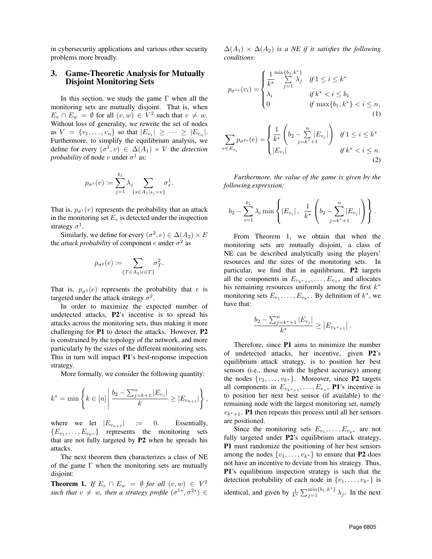in cybersecurity applications and various other security problems more broadly.

## <span id="page-3-0"></span>3. Game-Theoretic Analysis for Mutually Disjoint Monitoring Sets

In this section, we study the game  $\Gamma$  when all the monitoring sets are mutually disjoint. That is, when  $E_v \cap E_w = \emptyset$  for all  $(v, w) \in V^2$  such that  $v \neq w$ . Without loss of generality, we rewrite the set of nodes as  $V = \{v_1, \ldots, v_n\}$  so that  $|E_{v_1}| \geq \cdots \geq |E_{v_n}|$ . Furthermore, to simplify the equilibrium analysis, we define for every  $(\sigma^1, v) \in \Delta(A_1) \times V$  the *detection probability* of node v under  $\sigma^1$  as:

$$
p_{\sigma^1}(v) \coloneqq \sum_{j=1}^{b_1} \lambda_j \sum_{\{s \in A_1 | s_j = v\}} \sigma_s^1.
$$

That is,  $p_{\sigma^1}(v)$  represents the probability that an attack in the monitoring set  $E_v$  is detected under the inspection strategy  $\sigma^1$ .

Similarly, we define for every  $(\sigma^2, e) \in \Delta(A_2) \times E$ the *attack probability* of component *e* under  $\sigma^2$  as

$$
p_{\sigma^2}(e) := \sum_{\{T \in A_2 | e \in T\}} \sigma_T^2.
$$

That is,  $p_{\sigma^2}(e)$  represents the probability that e is targeted under the attack strategy  $\sigma^2$ .

In order to maximize the expected number of undetected attacks, P2's incentive is to spread his attacks across the monitoring sets, thus making it more challenging for P1 to detect the attacks. However, P2 is constrained by the topology of the network, and more particularly by the sizes of the different monitoring sets. This in turn will impact P1's best-response inspection strategy.

More formally, we consider the following quantity:

$$
k^* = \min\left\{k \in [n] \left| \frac{b_2 - \sum_{j=k+1}^n |E_{v_j}|}{k} \ge |E_{v_{k+1}}| \right\},\right\}
$$

where we let  $|E_{v_{n+1}}|$  := 0. Essentially,  ${E_{v_1}, \ldots, E_{v_k*}}$  represents the monitoring sets that are not fully targeted by P2 when he spreads his attacks.

The next theorem then characterizes a class of NE of the game  $\Gamma$  when the monitoring sets are mutually disjoint:

<span id="page-3-1"></span>**Theorem 1.** *If*  $E_v \cap E_w = \emptyset$  *for all*  $(v, w) \in V^2$ *such that*  $v \neq w$ *, then a strategy profile*  $(\sigma^{1*}, \sigma^{2*}) \in$ 

 $\Delta(A_1) \times \Delta(A_2)$  *is a NE if it satisfies the following conditions:*

$$
p_{\sigma^{1*}}(v_i) = \begin{cases} \frac{1}{k^*} \sum_{j=1}^{\min\{b_1, k^*\}} \lambda_j & \text{if } 1 \le i \le k^*\\ \lambda_i & \text{if } k^* < i \le b_1\\ 0 & \text{if } \max\{b_1, k^*\} < i \le n, \end{cases} \tag{1}
$$

$$
\sum_{e \in E_{v_i}} p_{\sigma^{2*}}(e) = \begin{cases} \frac{1}{k^*} \left( b_2 - \sum_{j=k^*+1}^n |E_{v_j}| \right) & \text{if } 1 \le i \le k^*\\ |E_{v_i}| & \text{if } k^* < i \le n. \end{cases}
$$

*Furthermore, the value of the game is given by the following expression:*

<span id="page-3-3"></span><span id="page-3-2"></span>(2)

$$
b_2 - \sum_{i=1}^{b_1} \lambda_i \min \left\{ |E_{v_i}|, \frac{1}{k^*} \left( b_2 - \sum_{j=k^*+1}^n |E_{v_j}| \right) \right\}.
$$

From Theorem [1,](#page-3-1) we obtain that when the monitoring sets are mutually disjoint, a class of NE can be described analytically using the players' resources and the sizes of the monitoring sets. In particular, we find that in equilibrium, P2 targets all the components in  $E_{v_{k^*+1}}, \ldots, E_{v_n}$ , and allocates his remaining resources uniformly among the first  $k^*$ monitoring sets  $E_{v_1}, \ldots, E_{v_{k^*}}$ . By definition of  $k^*$ , we have that:

$$
\frac{b_2 - \sum_{j=k^*+1}^{n} |E_{v_j}|}{k^*} \ge |E_{v_{k^*+1}}|.
$$

Therefore, since P1 aims to minimize the number of undetected attacks, her incentive, given P2's equilibrium attack strategy, is to position her best sensors (i.e., those with the highest accuracy) among the nodes  $\{v_1, \ldots, v_{k^*}\}.$  Moreover, since **P2** targets all components in  $E_{v_{k^*+1}}, \ldots, E_{v_n}$ , **P1**'s incentive is to position her next best sensor (if available) to the remaining node with the largest monitoring set, namely  $v_{k^*+1}$ . P1 then repeats this process until all her sensors are positioned.

Since the monitoring sets  $E_{v_1}, \ldots, E_{v_{k^*}}$  are not fully targeted under P2's equilibrium attack strategy, P1 must randomize the positioning of her best sensors among the nodes  $\{v_1, \ldots, v_{k^*}\}\$  to ensure that P2 does not have an incentive to deviate from his strategy. Thus, P1's equilibrium inspection strategy is such that the detection probability of each node in  $\{v_1, \ldots, v_{k^*}\}\$ is identical, and given by  $\frac{1}{k^*} \sum_{j=1}^{\min\{b_1, k^*\}} \lambda_j$ . In the next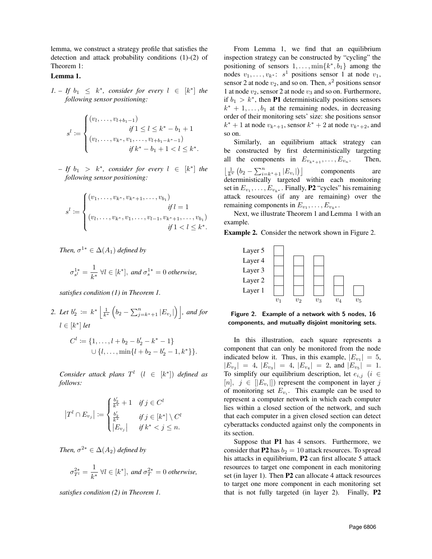lemma, we construct a strategy profile that satisfies the detection and attack probability conditions [\(1\)](#page-3-2)-[\(2\)](#page-3-3) of Theorem [1:](#page-3-1)

#### <span id="page-4-0"></span>Lemma 1.

*1. – If*  $b_1 \leq k^*$ , consider for every  $l \in [k^*]$  the *following sensor positioning:*

$$
s^{l} := \begin{cases} (v_{l}, \dots, v_{l+b_1-1}) & \text{if } 1 \le l \le k^* - b_1 + 1 \\ (v_{l}, \dots, v_{k^*}, v_1, \dots, v_{l+b_1-k^*-1}) & \text{if } k^* - b_1 + 1 < l \le k^*. \end{cases}
$$

 $-If b_1 > k^*$ , consider for every  $l \in [k^*]$  the *following sensor positioning:*

$$
s^{l} := \begin{cases} (v_1, \dots, v_{k^*}, v_{k^*+1}, \dots, v_{b_1}) & \text{if } l = 1 \\ (v_l, \dots, v_{k^*}, v_1, \dots, v_{l-1}, v_{k^*+1}, \dots, v_{b_1}) & \text{if } 1 < l \leq k^* . \end{cases}
$$

*Then,*  $\sigma^{1*} \in \Delta(A_1)$  *defined by* 

$$
\sigma_{s^l}^{1*} = \frac{1}{k^*} \ \forall l \in [k^*], \ and \ \sigma_s^{1*} = 0 \ otherwise,
$$

*satisfies condition [\(1\)](#page-3-2) in Theorem [1.](#page-3-1)*

2. Let 
$$
b'_2 := k^* \left[ \frac{1}{k^*} \left( b_2 - \sum_{j=k^*+1}^n |E_{v_j}| \right) \right]
$$
, and for  
\n $l \in [k^*] let$   
\n $C^l := \{1, ..., l + b_2 - b'_2 - k^* - 1\}$   
\n $\cup \{l, ..., \min\{l + b_2 - b'_2 - 1, k^*\}\}.$ 

*Consider attack plans*  $T^l$   $(l \in [k^*])$  *defined as follows:*

$$
\left|T^l\cap E_{v_j}\right| \coloneqq \begin{cases} \frac{b'_2}{k^*}+1 & \text{if } j\in C^l\\ \frac{b'_2}{k^*} & \text{if } j\in [k^*] \setminus C^l\\ \left|E_{v_j}\right| & \text{if } k^*< j\leq n. \end{cases}
$$

*Then,*  $\sigma^{2*} \in \Delta(A_2)$  *defined by* 

$$
\sigma_{T^l}^{2*} = \frac{1}{k^*} \ \forall l \in [k^*], \ and \ \sigma_T^{2*} = 0 \ otherwise,
$$

*satisfies condition [\(2\)](#page-3-3) in Theorem [1.](#page-3-1)*

From Lemma [1,](#page-4-0) we find that an equilibrium inspection strategy can be constructed by "cycling" the positioning of sensors  $1, \ldots, \min\{k^*, b_1\}$  among the nodes  $v_1, \ldots, v_{k^*}$ :  $s^1$  positions sensor 1 at node  $v_1$ , sensor 2 at node  $v_2$ , and so on. Then,  $s^2$  positions sensor 1 at node  $v_2$ , sensor 2 at node  $v_3$  and so on. Furthermore, if  $b_1 > k^*$ , then **P1** deterministically positions sensors  $k^* + 1, \ldots, b_1$  at the remaining nodes, in decreasing order of their monitoring sets' size: she positions sensor  $k^* + 1$  at node  $v_{k^*+1}$ , sensor  $k^* + 2$  at node  $v_{k^*+2}$ , and so on.

Similarly, an equilibrium attack strategy can be constructed by first deterministically targeting all the components in  $E_{v_{k^*+1}}, \ldots, E_{v_n}$ . . Then,  $\left\lfloor \frac{1}{k^*} \left( b_2 - \sum_{i=k^*+1}^n |E_{v_i}| \right) \right\rfloor$  components are deterministically targeted within each monitoring set in  $E_{v_1}, \ldots, E_{v_{k^*}}$ . Finally, **P2** "cycles" his remaining attack resources (if any are remaining) over the remaining components in  $E_{v_1}, \ldots, E_{v_{k^*}}$ .

Next, we illustrate Theorem [1](#page-3-1) and Lemma [1](#page-4-0) with an example.

Example 2. Consider the network shown in Figure [2.](#page-4-1)



<span id="page-4-1"></span>Figure 2. Example of a network with 5 nodes, 16 components, and mutually disjoint monitoring sets.

In this illustration, each square represents a component that can only be monitored from the node indicated below it. Thus, in this example,  $|E_{v_1}| = 5$ ,  $|E_{v_2}| = 4, |E_{v_3}| = 4, |E_{v_4}| = 2, \text{ and } |E_{v_5}| = 1.$ To simplify our equilibrium description, let  $e_{i,j}$  (i  $\in$  $[n], j \in [|E_{v_i}|]$  represent the component in layer j of monitoring set  $E_{v_i}$ . This example can be used to represent a computer network in which each computer lies within a closed section of the network, and such that each computer in a given closed section can detect cyberattacks conducted against only the components in its section.

Suppose that P1 has 4 sensors. Furthermore, we consider that P2 has  $b_2 = 10$  attack resources. To spread his attacks in equilibrium, **P2** can first allocate 5 attack resources to target one component in each monitoring set (in layer 1). Then P2 can allocate 4 attack resources to target one more component in each monitoring set that is not fully targeted (in layer 2). Finally, P2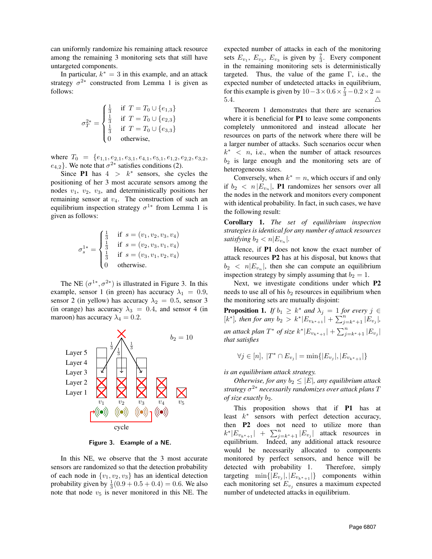can uniformly randomize his remaining attack resource among the remaining 3 monitoring sets that still have untargeted components.

In particular,  $k^* = 3$  in this example, and an attack strategy  $\sigma^{2*}$  constructed from Lemma [1](#page-4-0) is given as follows:

$$
\sigma_T^{2*} = \begin{cases} \frac{1}{3} & \text{if } T = T_0 \cup \{e_{1,3}\} \\ \frac{1}{3} & \text{if } T = T_0 \cup \{e_{2,3}\} \\ \frac{1}{3} & \text{if } T = T_0 \cup \{e_{3,3}\} \\ 0 & \text{otherwise,} \end{cases}
$$

where  $T_0 = \{e_{1,1}, e_{2,1}, e_{3,1}, e_{4,1}, e_{5,1}, e_{1,2}, e_{2,2}, e_{3,2},\}$  $e_{4,2}$ . We note that  $\sigma^{2*}$  satisfies conditions [\(2\)](#page-3-3).

Since P1 has  $4 > k^*$  sensors, she cycles the positioning of her 3 most accurate sensors among the nodes  $v_1$ ,  $v_2$ ,  $v_3$ , and deterministically positions her remaining sensor at  $v_4$ . The construction of such an equilibrium inspection strategy  $\sigma^{1*}$  from Lemma [1](#page-4-0) is given as follows:

$$
\sigma_s^{1*} = \begin{cases} \frac{1}{3} & \text{if } s = (v_1, v_2, v_3, v_4) \\ \frac{1}{3} & \text{if } s = (v_2, v_3, v_1, v_4) \\ \frac{1}{3} & \text{if } s = (v_3, v_1, v_2, v_4) \\ 0 & \text{otherwise.} \end{cases}
$$

The NE  $(\sigma^{1*}, \sigma^{2*})$  is illustrated in Figure [3.](#page-5-0) In this example, sensor 1 (in green) has accuracy  $\lambda_1 = 0.9$ , sensor 2 (in yellow) has accuracy  $\lambda_2 = 0.5$ , sensor 3 (in orange) has accuracy  $\lambda_3 = 0.4$ , and sensor 4 (in maroon) has accuracy  $\lambda_4 = 0.2$ .



<span id="page-5-0"></span>Figure 3. Example of a NE.

In this NE, we observe that the 3 most accurate sensors are randomized so that the detection probability of each node in  $\{v_1, v_2, v_3\}$  has an identical detection probability given by  $\frac{1}{3}(0.9 + 0.5 + 0.4) = 0.6$ . We also note that node  $v_5$  is never monitored in this NE. The

expected number of attacks in each of the monitoring sets  $E_{v_1}$ ,  $E_{v_2}$ ,  $E_{v_3}$  is given by  $\frac{7}{3}$ . Every component in the remaining monitoring sets is deterministically targeted. Thus, the value of the game  $\Gamma$ , i.e., the expected number of undetected attacks in equilibrium, for this example is given by  $10-3 \times 0.6 \times \frac{7}{3} - 0.2 \times 2 =$ 5.4.  $\triangle$ 

Theorem [1](#page-3-1) demonstrates that there are scenarios where it is beneficial for **P1** to leave some components completely unmonitored and instead allocate her resources on parts of the network where there will be a larger number of attacks. Such scenarios occur when  $k^*$  < *n*, i.e., when the number of attack resources  $b_2$  is large enough and the monitoring sets are of heterogeneous sizes.

Conversely, when  $k^* = n$ , which occurs if and only if  $b_2 < n |E_{v_n}|$ , **P1** randomizes her sensors over all the nodes in the network and monitors every component with identical probability. In fact, in such cases, we have the following result:

Corollary 1. *The set of equilibrium inspection strategies is identical for any number of attack resources satisfying*  $b_2 < n |E_{v_n}|$ .

Hence, if P1 does not know the exact number of attack resources P2 has at his disposal, but knows that  $b_2 < n |E_{v_n}|$ , then she can compute an equilibrium inspection strategy by simply assuming that  $b_2 = 1$ .

Next, we investigate conditions under which P2 needs to use all of his  $b_2$  resources in equilibrium when the monitoring sets are mutually disjoint:

**Proposition 1.** *If*  $b_1 \geq k^*$  *and*  $\lambda_j = 1$  *for every*  $j \in$  $[k^*]$ , then for any  $b_2 > k^* |E_{v_{k^*+1}}| + \sum_{j=k^*+1}^n |E_{v_j}|$ , *an attack plan*  $T^*$  *of size*  $k^* | E_{v_{k^*+1}} | + \sum_{j=k^*+1}^n |E_{v_j}|$ *that satisfies*

$$
\forall j \in [n], \ |T^* \cap E_{v_j}| = \min\{|E_{v_j}|, |E_{v_{k^*+1}}|\}
$$

*is an equilibrium attack strategy.*

*Otherwise, for any*  $b_2 \leq |E|$ *, any equilibrium attack strategy* σ <sup>2</sup><sup>∗</sup> *necessarily randomizes over attack plans* T *of size exactly b*<sub>2</sub>*.* 

This proposition shows that if P1 has at least  $k^*$  sensors with perfect detection accuracy, then P2 does not need to utilize more than  $k^*|E_{v_{k^*+1}}| + \sum_{j=k^*+1}^n |E_{v_j}|$  attack resources in equilibrium. Indeed, any additional attack resource would be necessarily allocated to components monitored by perfect sensors, and hence will be detected with probability 1. Therefore, simply targeting  $\min\{|E_{v_j}|, |E_{v_{k^*+1}}|\}$  components within each monitoring set  $E_{v_j}$  ensures a maximum expected number of undetected attacks in equilibrium.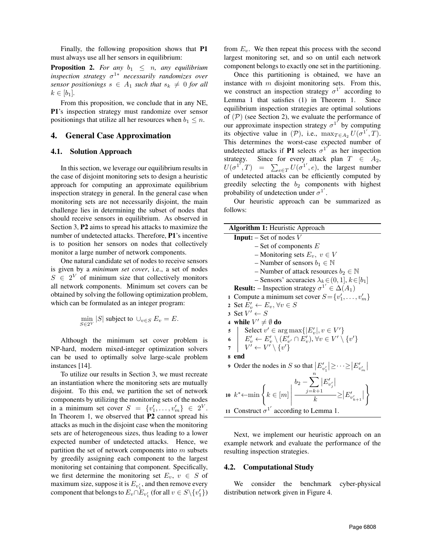Finally, the following proposition shows that P1 must always use all her sensors in equilibrium:

**Proposition 2.** For any  $b_1 \leq n$ , any equilibrium *inspection strategy* σ <sup>1</sup><sup>∗</sup> *necessarily randomizes over sensor positionings*  $s \in A_1$  *such that*  $s_k \neq 0$  *for all*  $k \in [b_1]$ .

From this proposition, we conclude that in any NE, P1's inspection strategy must randomize over sensor positionings that utilize all her resources when  $b_1 \leq n$ .

#### <span id="page-6-0"></span>4. General Case Approximation

#### 4.1. Solution Approach

In this section, we leverage our equilibrium results in the case of disjoint monitoring sets to design a heuristic approach for computing an approximate equilibrium inspection strategy in general. In the general case when monitoring sets are not necessarily disjoint, the main challenge lies in determining the subset of nodes that should receive sensors in equilibrium. As observed in Section [3,](#page-3-0) P2 aims to spread his attacks to maximize the number of undetected attacks. Therefore, P1's incentive is to position her sensors on nodes that collectively monitor a large number of network components.

One natural candidate set of nodes to receive sensors is given by a *minimum set cover*, i.e., a set of nodes  $S \in 2^V$  of minimum size that collectively monitors all network components. Minimum set covers can be obtained by solving the following optimization problem, which can be formulated as an integer program:

$$
\min_{S \in 2^V} |S| \text{ subject to } \cup_{v \in S} E_v = E.
$$

Although the minimum set cover problem is NP-hard, modern mixed-integer optimization solvers can be used to optimally solve large-scale problem instances [\[14\]](#page-9-2).

To utilize our results in Section [3,](#page-3-0) we must recreate an instantiation where the monitoring sets are mutually disjoint. To this end, we partition the set of network components by utilizing the monitoring sets of the nodes in a minimum set cover  $S = \{v'_1, \ldots, v'_m\} \in 2^V$ . In Theorem [1,](#page-3-1) we observed that P2 cannot spread his attacks as much in the disjoint case when the monitoring sets are of heterogeneous sizes, thus leading to a lower expected number of undetected attacks. Hence, we partition the set of network components into  $m$  subsets by greedily assigning each component to the largest monitoring set containing that component. Specifically, we first determine the monitoring set  $E_v$ ,  $v \in S$  of maximum size, suppose it is  $E_{v_1}$ , and then remove every component that belongs to  $E_v \cap E_{v'_1}$  (for all  $v \in S \setminus \{v'_1\}$ )

from  $E_v$ . We then repeat this process with the second largest monitoring set, and so on until each network component belongs to exactly one set in the partitioning.

Once this partitioning is obtained, we have an instance with  $m$  disjoint monitoring sets. From this, we construct an inspection strategy  $\sigma^{1'}$  according to Lemma [1](#page-4-0) that satisfies [\(1\)](#page-3-2) in Theorem [1.](#page-3-1) Since equilibrium inspection strategies are optimal solutions of  $(\mathcal{P})$  (see Section [2\)](#page-1-0), we evaluate the performance of our approximate inspection strategy  $\sigma^{1'}$  by computing its objective value in (P), i.e.,  $\max_{T \in A_2} U(\sigma^1', T)$ . This determines the worst-case expected number of undetected attacks if **P1** selects  $\sigma^{1}$  as her inspection strategy. Since for every attack plan  $T \in A_2$ ,  $U(\sigma^{1''},T) = \sum_{e \in T} U(\sigma^{1'},e)$ , the largest number of undetected attacks can be efficiently computed by greedily selecting the  $b_2$  components with highest probability of undetection under  $\sigma^{1'}$ .

Our heuristic approach can be summarized as follows:

| <b>Algorithm 1: Heuristic Approach</b>                                                                                                                                                                                                                     |
|------------------------------------------------------------------------------------------------------------------------------------------------------------------------------------------------------------------------------------------------------------|
| <b>Input:</b> $-$ Set of nodes V                                                                                                                                                                                                                           |
| $-$ Set of components $E$                                                                                                                                                                                                                                  |
| - Monitoring sets $E_v$ , $v \in V$                                                                                                                                                                                                                        |
| – Number of sensors $b_1 \in \mathbb{N}$                                                                                                                                                                                                                   |
| – Number of attack resources $b_2 \in \mathbb{N}$                                                                                                                                                                                                          |
| - Sensors' accuracies $\lambda_k \in (0, 1], k \in [b_1]$                                                                                                                                                                                                  |
| <b>Result:</b> – Inspection strategy $\sigma^{1'} \in \Delta(A_1)$                                                                                                                                                                                         |
| 1 Compute a minimum set cover $S = \{v'_1, \ldots, v'_m\}$                                                                                                                                                                                                 |
| 2 Set $E'_v \leftarrow E_v, \forall v \in S$                                                                                                                                                                                                               |
| 3 Set $V' \leftarrow S$                                                                                                                                                                                                                                    |
| 4 while $V' \neq \emptyset$ do                                                                                                                                                                                                                             |
| $\begin{array}{ll} \texttt{5} & \texttt{Select } v' \in \arg\max \{ E_v' , v \in V'\} \\ \texttt{6} & E_v' \leftarrow E_v' \setminus (E_{v'}' \cap E_v'), \forall v \in V' \setminus \{v'\} \\ \texttt{7} & V' \leftarrow V' \setminus \{v'\} \end{array}$ |
|                                                                                                                                                                                                                                                            |
|                                                                                                                                                                                                                                                            |
| 8 end                                                                                                                                                                                                                                                      |
| 9 Order the nodes in S so that $ E'_{v'_1}  \geq \cdots \geq  E'_{v'_m} $                                                                                                                                                                                  |
|                                                                                                                                                                                                                                                            |
| $\text{ no } k^*\!\!\leftarrow\!\!\min\left\{k\in[m]\left \frac{b_2-\!\!\!\sum\limits_{j=k+1}\! E'_{v'_j} }{k}\!\!\geq\!\! E'_{v'_{k+1}} \right.\right\}$                                                                                                  |
| 11 Construct $\sigma^{1'}$ according to Lemma 1.                                                                                                                                                                                                           |
|                                                                                                                                                                                                                                                            |

Next, we implement our heuristic approach on an example network and evaluate the performance of the resulting inspection strategies.

#### 4.2. Computational Study

We consider the benchmark cyber-physical distribution network given in Figure [4.](#page-7-0)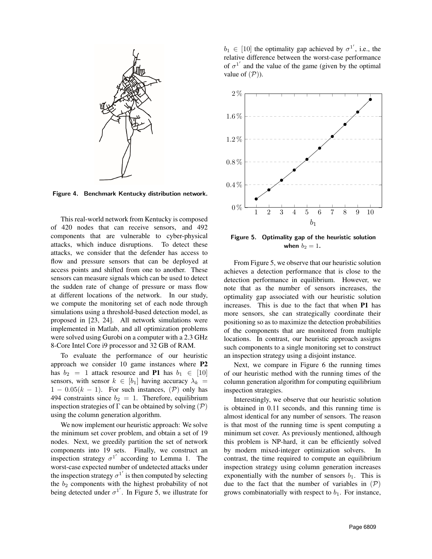

<span id="page-7-0"></span>Figure 4. Benchmark Kentucky distribution network.

This real-world network from Kentucky is composed of 420 nodes that can receive sensors, and 492 components that are vulnerable to cyber-physical attacks, which induce disruptions. To detect these attacks, we consider that the defender has access to flow and pressure sensors that can be deployed at access points and shifted from one to another. These sensors can measure signals which can be used to detect the sudden rate of change of pressure or mass flow at different locations of the network. In our study, we compute the monitoring set of each node through simulations using a threshold-based detection model, as proposed in [\[23,](#page-9-11) [24\]](#page-9-12). All network simulations were implemented in Matlab, and all optimization problems were solved using Gurobi on a computer with a 2.3 GHz 8-Core Intel Core i9 processor and 32 GB of RAM.

To evaluate the performance of our heuristic approach we consider 10 game instances where P2 has  $b_2 = 1$  attack resource and P1 has  $b_1 \in [10]$ sensors, with sensor  $k \in [b_1]$  having accuracy  $\lambda_k$  =  $1 - 0.05(k - 1)$ . For such instances,  $(\mathcal{P})$  only has 494 constraints since  $b_2 = 1$ . Therefore, equilibrium inspection strategies of  $\Gamma$  can be obtained by solving  $(\mathcal{P})$ using the column generation algorithm.

We now implement our heuristic approach: We solve the minimum set cover problem, and obtain a set of 19 nodes. Next, we greedily partition the set of network components into 19 sets. Finally, we construct an inspection strategy  $\sigma^{1'}$  according to Lemma [1.](#page-4-0) The worst-case expected number of undetected attacks under the inspection strategy  $\sigma^{1'}$  is then computed by selecting the  $b_2$  components with the highest probability of not being detected under  $\sigma^{1'}$ . In Figure [5,](#page-7-1) we illustrate for

 $b_1 \in [10]$  the optimality gap achieved by  $\sigma^{1'}$ , i.e., the relative difference between the worst-case performance of  $\sigma^{1'}$  and the value of the game (given by the optimal value of  $(\mathcal{P})$ ).



<span id="page-7-1"></span>Figure 5. Optimality gap of the heuristic solution when  $b_2 = 1$ .

From Figure [5,](#page-7-1) we observe that our heuristic solution achieves a detection performance that is close to the detection performance in equilibrium. However, we note that as the number of sensors increases, the optimality gap associated with our heuristic solution increases. This is due to the fact that when P1 has more sensors, she can strategically coordinate their positioning so as to maximize the detection probabilities of the components that are monitored from multiple locations. In contrast, our heuristic approach assigns such components to a single monitoring set to construct an inspection strategy using a disjoint instance.

Next, we compare in Figure [6](#page-8-12) the running times of our heuristic method with the running times of the column generation algorithm for computing equilibrium inspection strategies.

Interestingly, we observe that our heuristic solution is obtained in 0.11 seconds, and this running time is almost identical for any number of sensors. The reason is that most of the running time is spent computing a minimum set cover. As previously mentioned, although this problem is NP-hard, it can be efficiently solved by modern mixed-integer optimization solvers. In contrast, the time required to compute an equilibrium inspection strategy using column generation increases exponentially with the number of sensors  $b_1$ . This is due to the fact that the number of variables in  $(\mathcal{P})$ grows combinatorially with respect to  $b_1$ . For instance,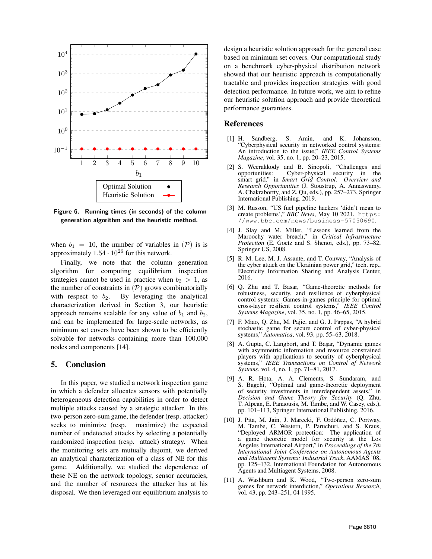

<span id="page-8-12"></span>Figure 6. Running times (in seconds) of the column generation algorithm and the heuristic method.

when  $b_1 = 10$ , the number of variables in  $(\mathcal{P})$  is is approximately  $1.54 \cdot 10^{26}$  for this network.

Finally, we note that the column generation algorithm for computing equilibrium inspection strategies cannot be used in practice when  $b_2 > 1$ , as the number of constraints in  $(\mathcal{P})$  grows combinatorially with respect to  $b_2$ . By leveraging the analytical characterization derived in Section [3,](#page-3-0) our heuristic approach remains scalable for any value of  $b_1$  and  $b_2$ , and can be implemented for large-scale networks, as minimum set covers have been shown to be efficiently solvable for networks containing more than 100,000 nodes and components [\[14\]](#page-9-2).

## <span id="page-8-11"></span>5. Conclusion

In this paper, we studied a network inspection game in which a defender allocates sensors with potentially heterogeneous detection capabilities in order to detect multiple attacks caused by a strategic attacker. In this two-person zero-sum game, the defender (resp. attacker) seeks to minimize (resp. maximize) the expected number of undetected attacks by selecting a potentially randomized inspection (resp. attack) strategy. When the monitoring sets are mutually disjoint, we derived an analytical characterization of a class of NE for this game. Additionally, we studied the dependence of these NE on the network topology, sensor accuracies, and the number of resources the attacker has at his disposal. We then leveraged our equilibrium analysis to

design a heuristic solution approach for the general case based on minimum set covers. Our computational study on a benchmark cyber-physical distribution network showed that our heuristic approach is computationally tractable and provides inspection strategies with good detection performance. In future work, we aim to refine our heuristic solution approach and provide theoretical performance guarantees.

## References

- <span id="page-8-0"></span>[1] H. Sandberg, S. Amin, and K. Johansson, "Cyberphysical security in networked control systems: An introduction to the issue," *IEEE Control Systems Magazine*, vol. 35, no. 1, pp. 20–23, 2015.
- <span id="page-8-1"></span>[2] S. Weerakkody and B. Sinopoli, "Challenges and  $Cyber-physical$  security in smart grid," in *Smart Grid Control: Overview and Research Opportunities* (J. Stoustrup, A. Annaswamy, A. Chakrabortty, and Z. Qu, eds.), pp. 257–273, Springer International Publishing, 2019.
- <span id="page-8-2"></span>[3] M. Russon, "US fuel pipeline hackers 'didn't mean to create problems'," *BBC News*, May 10 2021. [https:](https://www.bbc.com/news/business-57050690) [//www.bbc.com/news/business-57050690](https://www.bbc.com/news/business-57050690).
- <span id="page-8-3"></span>[4] J. Slay and M. Miller, "Lessons learned from the Maroochy water breach," in *Critical Infrastructure Protection* (E. Goetz and S. Shenoi, eds.), pp. 73–82, Springer US, 2008.
- <span id="page-8-4"></span>[5] R. M. Lee, M. J. Assante, and T. Conway, "Analysis of the cyber attack on the Ukrainian power grid," tech. rep., Electricity Information Sharing and Analysis Center, 2016.
- <span id="page-8-5"></span>[6] Q. Zhu and T. Basar, "Game-theoretic methods for robustness, security, and resilience of cyberphysical control systems: Games-in-games principle for optimal cross-layer resilient control systems," *IEEE Control Systems Magazine*, vol. 35, no. 1, pp. 46–65, 2015.
- <span id="page-8-6"></span>[7] F. Miao, Q. Zhu, M. Pajic, and G. J. Pappas, "A hybrid stochastic game for secure control of cyber-physical systems," *Automatica*, vol. 93, pp. 55–63, 2018.
- <span id="page-8-7"></span>[8] A. Gupta, C. Langbort, and T. Başar, "Dynamic games with asymmetric information and resource constrained players with applications to security of cyberphysical systems," *IEEE Transactions on Control of Network Systems*, vol. 4, no. 1, pp. 71–81, 2017.
- <span id="page-8-8"></span>[9] A. R. Hota, A. A. Clements, S. Sundaram, and S. Bagchi, "Optimal and game-theoretic deployment of security investments in interdependent assets," in *Decision and Game Theory for Security* (Q. Zhu, T. Alpcan, E. Panaousis, M. Tambe, and W. Casey, eds.), pp. 101–113, Springer International Publishing, 2016.
- <span id="page-8-9"></span>[10] J. Pita, M. Jain, J. Marecki, F. Ordóñez, C. Portway, M. Tambe, C. Western, P. Paruchuri, and S. Kraus, "Deployed ARMOR protection: The application of a game theoretic model for security at the Los Angeles International Airport," in *Proceedings of the 7th International Joint Conference on Autonomous Agents and Multiagent Systems: Industrial Track*, AAMAS '08, pp. 125–132, International Foundation for Autonomous Agents and Multiagent Systems, 2008.
- <span id="page-8-10"></span>[11] A. Washburn and K. Wood, "Two-person zero-sum games for network interdiction," *Operations Research*, vol. 43, pp. 243–251, 04 1995.